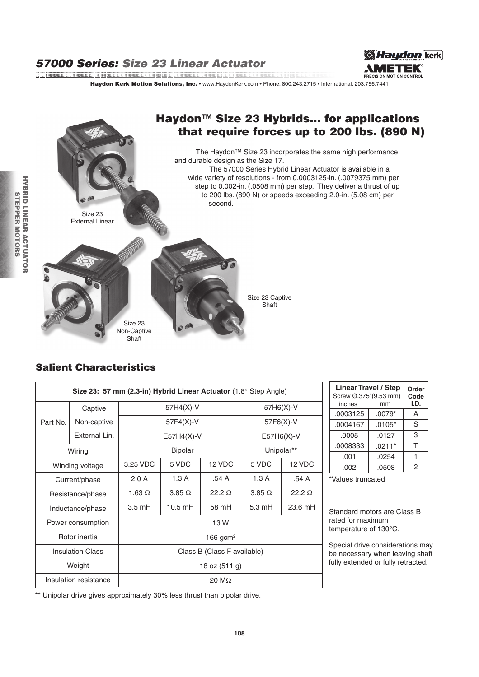and a complete the complete the complete that the complete the complete the complete that the complete the complete the complete the complete the complete the complete the complete the complete the complete the complete th



Haydon Kerk Motion Solutions, Inc. • www.HaydonKerk.com • Phone: 800.243.2715 • International: 203.756.7441



### Salient Characteristics

| Size 23: 57 mm (2.3-in) Hybrid Linear Actuator (1.8° Step Angle) |               |                             |                |               |                  |               |  |  |
|------------------------------------------------------------------|---------------|-----------------------------|----------------|---------------|------------------|---------------|--|--|
|                                                                  | Captive       | 57H4(X)-V                   |                |               | 57H6(X)-V        |               |  |  |
| Part No.                                                         | Non-captive   | $57F4(X)-V$                 |                |               | 57F6(X)-V        |               |  |  |
|                                                                  | External Lin. | $E57H4(X)-V$                |                |               | $E57H6(X)-V$     |               |  |  |
| Wiring                                                           |               | <b>Bipolar</b>              |                |               | Unipolar**       |               |  |  |
| Winding voltage                                                  |               | 3.25 VDC                    | 5 VDC          | 12 VDC        | 5 VDC            | 12 VDC        |  |  |
| Current/phase                                                    |               | 2.0 A                       | 1.3A           | .54 A         | 1.3A             | .54 A         |  |  |
| Resistance/phase                                                 |               | 1.63 $\Omega$               | $3.85\ \Omega$ | $22.2 \Omega$ | $3.85\ \Omega$   | 22.2 $\Omega$ |  |  |
| Inductance/phase                                                 |               | $3.5 \text{ mH}$            | $10.5$ mH      | 58 mH         | $5.3 \text{ mH}$ | 23.6 mH       |  |  |
| Power consumption                                                |               | 13 W                        |                |               |                  |               |  |  |
| Rotor inertia                                                    |               | 166 gcm <sup>2</sup>        |                |               |                  |               |  |  |
| <b>Insulation Class</b>                                          |               | Class B (Class F available) |                |               |                  |               |  |  |
| Weight                                                           |               | 18 oz $(511 g)$             |                |               |                  |               |  |  |
| Insulation resistance                                            |               | 20 M $\Omega$               |                |               |                  |               |  |  |

| <b>Linear Travel / Step</b><br>Screw Ø.375"(9.53 mm) | Order<br>Code |      |
|------------------------------------------------------|---------------|------|
| inches                                               | mm            | I.D. |
| .0003125                                             | $.0079*$      | А    |
| .0004167                                             | $.0105*$      | S    |
| .0005                                                | .0127         | 3    |
| .0008333                                             | $.0211*$      | т    |
| .001                                                 | .0254         |      |
| .002                                                 | .0508         | 2    |

\*Values truncated

Standard motors are Class B rated for maximum temperature of 130°C.

Special drive considerations may be necessary when leaving shaft fully extended or fully retracted.

\*\* Unipolar drive gives approximately 30% less thrust than bipolar drive.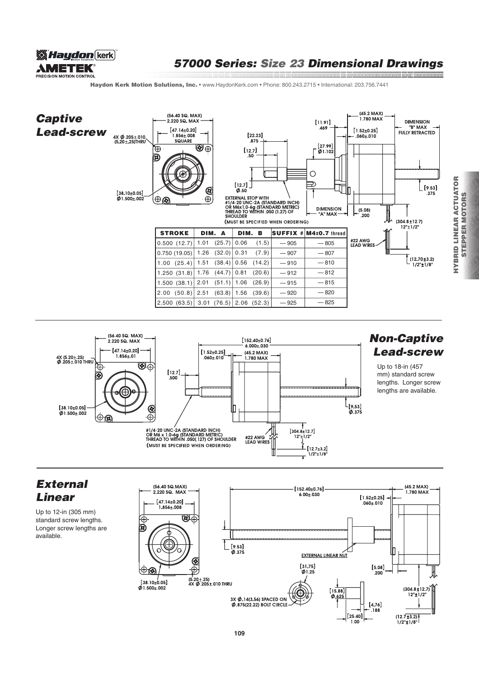

# 57000 Series: Size 23 Dimensional Drawings

Haydon Kerk Motion Solutions, Inc. • www.HaydonKerk.com • Phone: 800.243.2715 • International: 203.756.7441





# Non-Captive Lead-screw

Up to 18-in (457 mm) standard screw lengths. Longer screw lengths are available.

# External Linear

Up to 12-in (305 mm) standard screw lengths. Longer screw lengths are available.



HYBRID LINEAR ACTUATOR STEPPER MOTORS

**STEPPER MOTORS** 

**HYBRID LINEAR ACTUATOR**